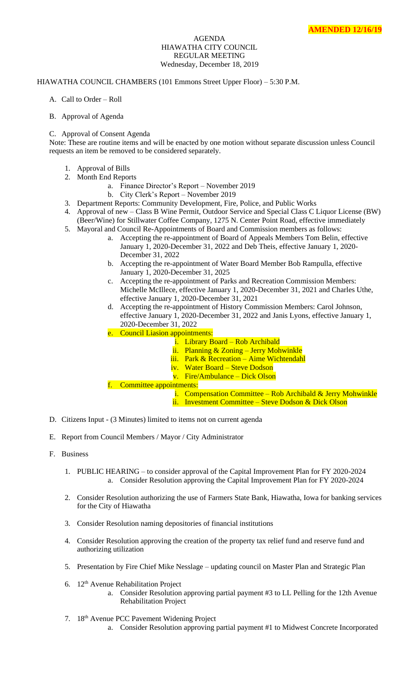## AGENDA HIAWATHA CITY COUNCIL REGULAR MEETING Wednesday, December 18, 2019

## HIAWATHA COUNCIL CHAMBERS (101 Emmons Street Upper Floor) – 5:30 P.M.

- A. Call to Order Roll
- B. Approval of Agenda

## C. Approval of Consent Agenda

Note: These are routine items and will be enacted by one motion without separate discussion unless Council requests an item be removed to be considered separately.

- 1. Approval of Bills
- 2. Month End Reports
	- a. Finance Director's Report November 2019
	- b. City Clerk's Report November 2019
- 3. Department Reports: Community Development, Fire, Police, and Public Works
- 4. Approval of new Class B Wine Permit, Outdoor Service and Special Class C Liquor License (BW) (Beer/Wine) for Stillwater Coffee Company, 1275 N. Center Point Road, effective immediately
- 5. Mayoral and Council Re-Appointments of Board and Commission members as follows:
	- a. Accepting the re-appointment of Board of Appeals Members Tom Belin, effective January 1, 2020-December 31, 2022 and Deb Theis, effective January 1, 2020- December 31, 2022
	- b. Accepting the re-appointment of Water Board Member Bob Rampulla, effective January 1, 2020-December 31, 2025
	- c. Accepting the re-appointment of Parks and Recreation Commission Members: Michelle McIllece, effective January 1, 2020-December 31, 2021 and Charles Uthe, effective January 1, 2020-December 31, 2021
	- d. Accepting the re-appointment of History Commission Members: Carol Johnson, effective January 1, 2020-December 31, 2022 and Janis Lyons, effective January 1, 2020-December 31, 2022
	- e. Council Liasion appointments:
		- i. Library Board Rob Archibald
		- ii. Planning & Zoning Jerry Mohwinkle
		- iii. Park & Recreation Aime Wichtendahl
		- iv. Water Board Steve Dodson
		- v. Fire/Ambulance Dick Olson
	- f. Committee appointments:
		- i. Compensation Committee Rob Archibald  $&$  Jerry Mohwinkle ii. Investment Committee – Steve Dodson & Dick Olson
- D. Citizens Input (3 Minutes) limited to items not on current agenda
- E. Report from Council Members / Mayor / City Administrator
- F. Business
	- 1. PUBLIC HEARING to consider approval of the Capital Improvement Plan for FY 2020-2024 a. Consider Resolution approving the Capital Improvement Plan for FY 2020-2024
	- 2. Consider Resolution authorizing the use of Farmers State Bank, Hiawatha, Iowa for banking services for the City of Hiawatha
	- 3. Consider Resolution naming depositories of financial institutions
	- 4. Consider Resolution approving the creation of the property tax relief fund and reserve fund and authorizing utilization
	- 5. Presentation by Fire Chief Mike Nesslage updating council on Master Plan and Strategic Plan
	- 6. 12th Avenue Rehabilitation Project
		- a. Consider Resolution approving partial payment #3 to LL Pelling for the 12th Avenue Rehabilitation Project
	- 7. 18th Avenue PCC Pavement Widening Project
		- a. Consider Resolution approving partial payment #1 to Midwest Concrete Incorporated